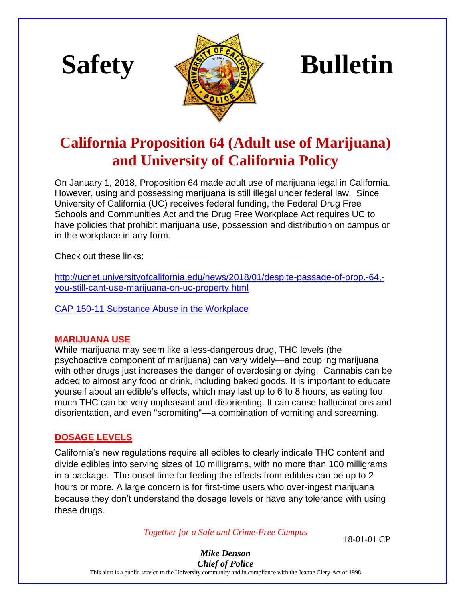

# **California Proposition 64 (Adult use of Marijuana) and University of California Policy**

On January 1, 2018, Proposition 64 made adult use of marijuana legal in California. However, using and possessing marijuana is still illegal under federal law. Since University of California (UC) receives federal funding, the Federal Drug Free Schools and Communities Act and the Drug Free Workplace Act requires UC to have policies that prohibit marijuana use, possession and distribution on campus or in the workplace in any form.

Check out these links:

[http://ucnet.universityofcalifornia.edu/news/2018/01/despite-passage-of-prop.-64,](http://ucnet.universityofcalifornia.edu/news/2018/01/despite-passage-of-prop.-64,-you-still-cant-use-marijuana-on-uc-property.html) [you-still-cant-use-marijuana-on-uc-property.html](http://ucnet.universityofcalifornia.edu/news/2018/01/despite-passage-of-prop.-64,-you-still-cant-use-marijuana-on-uc-property.html)

[CAP 150-11 Substance Abuse in the Workplace](http://policies.ucsf.edu/policy/150-11)

## **MARIJUANA USE**

While marijuana may seem like a less-dangerous drug, THC levels (the psychoactive component of marijuana) can vary widely—and coupling marijuana with other drugs just increases the danger of overdosing or dying. Cannabis can be added to almost any food or drink, including baked goods. It is important to educate yourself about an edible's effects, which may last up to 6 to 8 hours, as eating too much THC can be very unpleasant and disorienting. It can cause hallucinations and disorientation, and even "scromiting"—a combination of vomiting and screaming.

## **DOSAGE LEVELS**

California's new regulations require all edibles to clearly indicate THC content and divide edibles into serving sizes of 10 milligrams, with no more than 100 milligrams in a package. The onset time for feeling the effects from edibles can be up to 2 hours or more. A large concern is for first-time users who over-ingest marijuana because they don't understand the dosage levels or have any tolerance with using these drugs.

*Together for a Safe and Crime-Free Campus*

18-01-01 CP

*Mike Denson Chief of Police* This alert is a public service to the University community and in compliance with the Jeanne Clery Act of 1998